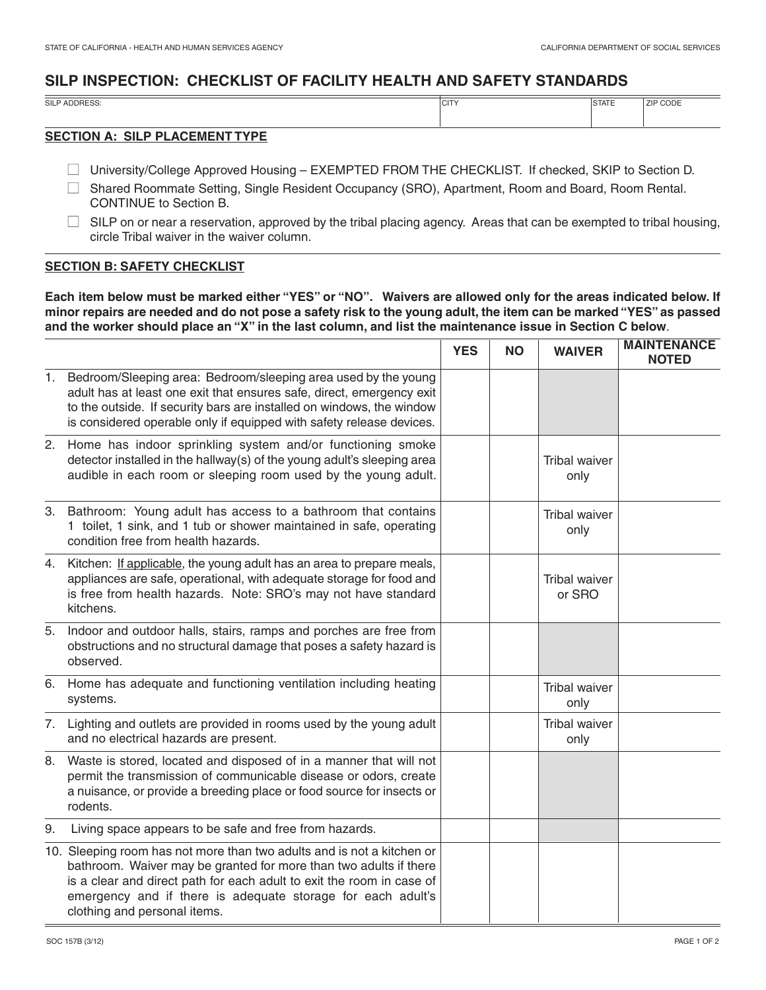### **SILP INSPECTION: CHECKLIST OF FACILITY HEALTH AND SAFETY STANDARDS**

| CITY<br><b>SILP ADDRESS:</b> | ZIP CODE<br><b>STATE</b> |  |
|------------------------------|--------------------------|--|

## **SECTION A: SILP PLACEMENT TYPE**

- $\Box$  University/College Approved Housing EXEMPTED FROM THE CHECKLIST. If checked, SKIP to Section D.
- □ Shared Roommate Setting, Single Resident Occupancy (SRO), Apartment, Room and Board, Room Rental. CONTINUE to Section B.
- $\Box$  SILP on or near a reservation, approved by the tribal placing agency. Areas that can be exempted to tribal housing, circle Tribal waiver in the waiver column.

#### **SECTION B: SAFETY CHECKLIST**

**Each item below must be marked either "YES" or "NO". Waivers are allowed only for the areas indicated below. If minor repairs are needed and do not pose a safety risk to the young adult, the item can be marked "YES" as passed and the worker should place an "X" in the last column, and list the maintenance issue in Section C below**.

|    |                                                                                                                                                                                                                                                                                                                     | <b>YES</b> | <b>NO</b> | <b>WAIVER</b>                  | <b>MAINTENANCE</b><br><b>NOTED</b> |
|----|---------------------------------------------------------------------------------------------------------------------------------------------------------------------------------------------------------------------------------------------------------------------------------------------------------------------|------------|-----------|--------------------------------|------------------------------------|
| 1. | Bedroom/Sleeping area: Bedroom/sleeping area used by the young<br>adult has at least one exit that ensures safe, direct, emergency exit<br>to the outside. If security bars are installed on windows, the window<br>is considered operable only if equipped with safety release devices.                            |            |           |                                |                                    |
| 2. | Home has indoor sprinkling system and/or functioning smoke<br>detector installed in the hallway(s) of the young adult's sleeping area<br>audible in each room or sleeping room used by the young adult.                                                                                                             |            |           | <b>Tribal waiver</b><br>only   |                                    |
|    | 3. Bathroom: Young adult has access to a bathroom that contains<br>1 toilet, 1 sink, and 1 tub or shower maintained in safe, operating<br>condition free from health hazards.                                                                                                                                       |            |           | <b>Tribal waiver</b><br>only   |                                    |
| 4. | Kitchen: If applicable, the young adult has an area to prepare meals,<br>appliances are safe, operational, with adequate storage for food and<br>is free from health hazards. Note: SRO's may not have standard<br>kitchens.                                                                                        |            |           | <b>Tribal waiver</b><br>or SRO |                                    |
| 5. | Indoor and outdoor halls, stairs, ramps and porches are free from<br>obstructions and no structural damage that poses a safety hazard is<br>observed.                                                                                                                                                               |            |           |                                |                                    |
|    | 6. Home has adequate and functioning ventilation including heating<br>systems.                                                                                                                                                                                                                                      |            |           | <b>Tribal waiver</b><br>only   |                                    |
| 7. | Lighting and outlets are provided in rooms used by the young adult<br>and no electrical hazards are present.                                                                                                                                                                                                        |            |           | <b>Tribal waiver</b><br>only   |                                    |
| 8. | Waste is stored, located and disposed of in a manner that will not<br>permit the transmission of communicable disease or odors, create<br>a nuisance, or provide a breeding place or food source for insects or<br>rodents.                                                                                         |            |           |                                |                                    |
| 9. | Living space appears to be safe and free from hazards.                                                                                                                                                                                                                                                              |            |           |                                |                                    |
|    | 10. Sleeping room has not more than two adults and is not a kitchen or<br>bathroom. Waiver may be granted for more than two adults if there<br>is a clear and direct path for each adult to exit the room in case of<br>emergency and if there is adequate storage for each adult's<br>clothing and personal items. |            |           |                                |                                    |